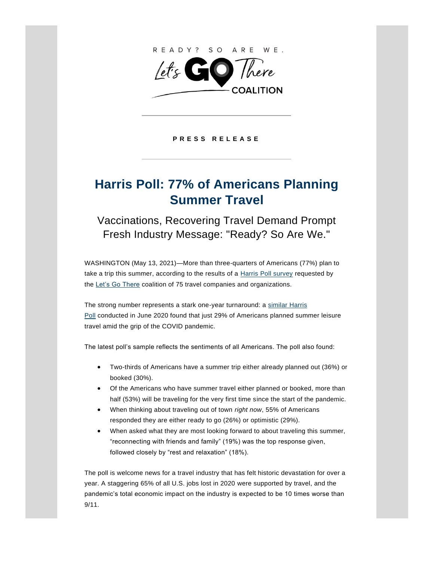

**P R E S S R E L E A S E**

## **Harris Poll: 77% of Americans Planning Summer Travel**

Vaccinations, Recovering Travel Demand Prompt Fresh Industry Message: "Ready? So Are We."

WASHINGTON (May 13, 2021)—More than three-quarters of Americans (77%) plan to take a trip this summer, according to the results of a **[Harris Poll survey](https://www.letsgothere.travel/sites/default/files/2021-05/LGT_Harris-Poll.pdf)** requested by the [Let's Go There](https://www.letsgothere.travel/) coalition of 75 travel companies and organizations.

The strong number represents a stark one-year turnaround: a [similar Harris](https://theharrispoll.com/the-summer-travel-season/)  [Poll](https://theharrispoll.com/the-summer-travel-season/) conducted in June 2020 found that just 29% of Americans planned summer leisure travel amid the grip of the COVID pandemic.

The latest poll's sample reflects the sentiments of all Americans. The poll also found:

- Two-thirds of Americans have a summer trip either already planned out (36%) or booked (30%).
- Of the Americans who have summer travel either planned or booked, more than half (53%) will be traveling for the very first time since the start of the pandemic.
- When thinking about traveling out of town *right now*, 55% of Americans responded they are either ready to go (26%) or optimistic (29%).
- When asked what they are most looking forward to about traveling this summer, "reconnecting with friends and family" (19%) was the top response given, followed closely by "rest and relaxation" (18%).

The poll is welcome news for a travel industry that has felt historic devastation for over a year. A staggering 65% of all U.S. jobs lost in 2020 were supported by travel, and the pandemic's total economic impact on the industry is expected to be 10 times worse than 9/11.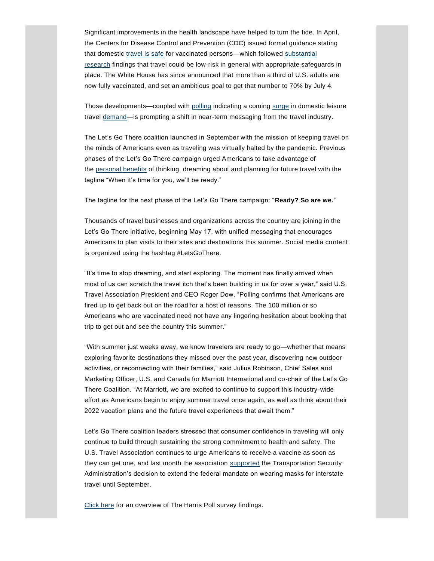Significant improvements in the health landscape have helped to turn the tide. In April, the Centers for Disease Control and Prevention (CDC) issued formal guidance stating that domestic [travel is safe](https://www.cdc.gov/coronavirus/2019-ncov/travelers/travel-during-covid19.html) for vaccinated persons-which followed substantial [research](https://www.ustravel.org/news/harvard-study-low-risk-covid-19-transmission-when-flying?utm_source=MagnetMail&utm_medium=email&utm_content=INSERT_MESSAGE_NAME&utm_campaign=pr) findings that travel could be low-risk in general with appropriate safeguards in place. The White House has since announced that more than a third of U.S. adults are now fully vaccinated, and set an ambitious goal to get that number to 70% by July 4.

Those developments—coupled with [polling](https://www.destinationanalysts.com/blog-update-on-american-travel-in-the-period-of-coronavirus-week-of-april-26th/) indicating a coming [surge](https://advertising.expedia.com/blog/travel-trends/travel-recovery-trend-report-return-of-travel/) in domestic leisure travel [demand—](https://newsroom.aaa.com/2021/05/memorial-day-holiday-travel-to-rebound-to-more-than-37-million/?sf143185755=1)is prompting a shift in near-term messaging from the travel industry.

The Let's Go There coalition launched in September with the mission of keeping travel on the minds of Americans even as traveling was virtually halted by the pandemic. Previous phases of the Let's Go There campaign urged Americans to take advantage of the [personal benefits](https://www.letsgothere.travel/sites/default/files/2020-09/LGT_PressRelease_Consumer.pdf) of thinking, dreaming about and planning for future travel with the tagline "When it's time for you, we'll be ready."

The tagline for the next phase of the Let's Go There campaign: "**Ready? So are we.**"

Thousands of travel businesses and organizations across the country are joining in the Let's Go There initiative, beginning May 17, with unified messaging that encourages Americans to plan visits to their sites and destinations this summer. Social media content is organized using the hashtag #LetsGoThere.

"It's time to stop dreaming, and start exploring. The moment has finally arrived when most of us can scratch the travel itch that's been building in us for over a year," said U.S. Travel Association President and CEO Roger Dow. "Polling confirms that Americans are fired up to get back out on the road for a host of reasons. The 100 million or so Americans who are vaccinated need not have any lingering hesitation about booking that trip to get out and see the country this summer."

"With summer just weeks away, we know travelers are ready to go—whether that means exploring favorite destinations they missed over the past year, discovering new outdoor activities, or reconnecting with their families," said Julius Robinson, Chief Sales and Marketing Officer, U.S. and Canada for Marriott International and co-chair of the Let's Go There Coalition. "At Marriott, we are excited to continue to support this industry-wide effort as Americans begin to enjoy summer travel once again, as well as think about their 2022 vacation plans and the future travel experiences that await them."

Let's Go There coalition leaders stressed that consumer confidence in traveling will only continue to build through sustaining the strong commitment to health and safety. The U.S. Travel Association continues to urge Americans to receive a vaccine as soon as they can get one, and last month the association [supported](https://www.ustravel.org/press/us-travel-praises-extension-federal-mask-mandate?utm_source=MagnetMail&utm_medium=email&utm_content=INSERT_MESSAGE_NAME&utm_campaign=pr) the Transportation Security Administration's decision to extend the federal mandate on wearing masks for interstate travel until September.

[Click here](https://www.letsgothere.travel/sites/default/files/2021-05/LGT_Harris-Poll.pdf) for an overview of The Harris Poll survey findings.